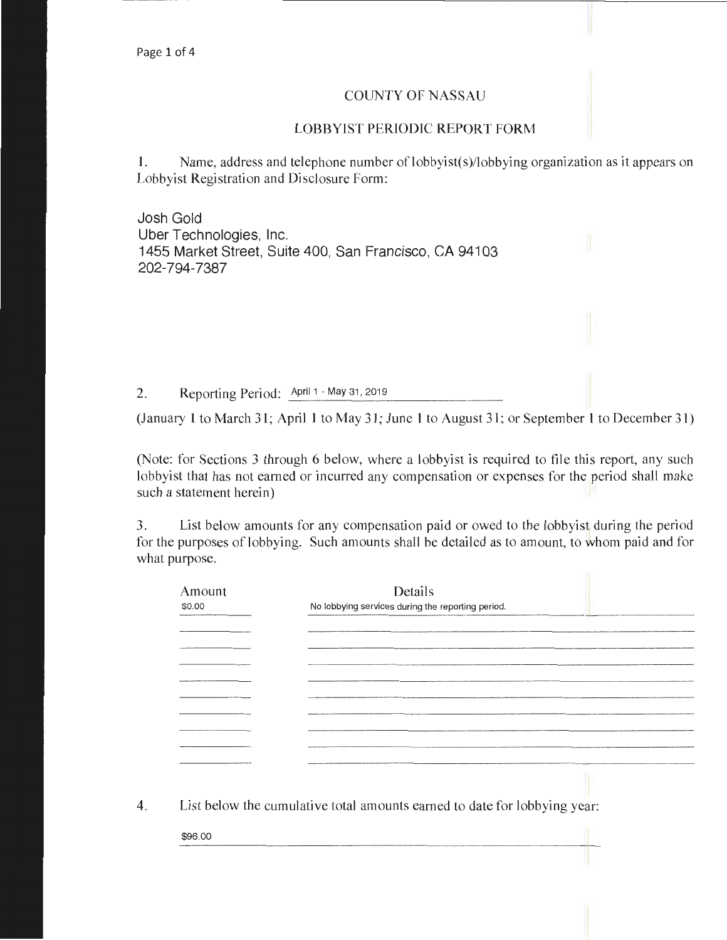## COUNTY OF NASSAU

## LOBBYIST PERIODIC REPORT FORM

1. Name, address and telephone number of lobbyist(s)/lobbying organization as it appears on Lobbyist Registration and Disclosure Form:

Josh Gold Uber Technologies, Inc. 1455 Market Street, Suite 400, San Francisco, CA 94103 202-794-7387

2. Reporting Period: April 1 - May 31, 2019

(January 1 to March 31; April 1 to May 31; June 1 to August 31; or September 1 to December 31)

(Note: for Sections 3 through 6 below, where a lobbyist is required to file this report, any such lobbyist that has not earned or incurred any compensation or expenses for the period shall make such a statement herein)

3. List below amounts for any compensation paid or owed to the lobbyist during the period for the purposes of lobbying. Such amounts shall be detailed as to amount, to whom paid and for what purpose.

| Amount       | Details                                                                                                       |
|--------------|---------------------------------------------------------------------------------------------------------------|
| \$0.00       | No lobbying services during the reporting period.                                                             |
|              |                                                                                                               |
|              |                                                                                                               |
|              | ,,,,,,,,,,,,,,,,,,,,,,,,,,,,,,,                                                                               |
| ______       | A 2000 00:00 A 2000 00:00 PM and 2000 00:00 PM and 2000 00:00 PM and 2000 00:00 PM and 2000 00:00 PM and 2000 |
|              |                                                                                                               |
| _____        |                                                                                                               |
|              |                                                                                                               |
|              |                                                                                                               |
|              |                                                                                                               |
| ____________ |                                                                                                               |
|              |                                                                                                               |
|              |                                                                                                               |
|              |                                                                                                               |

4. List below the cumulative total amounts earned to date for lobbying year:

\$96.00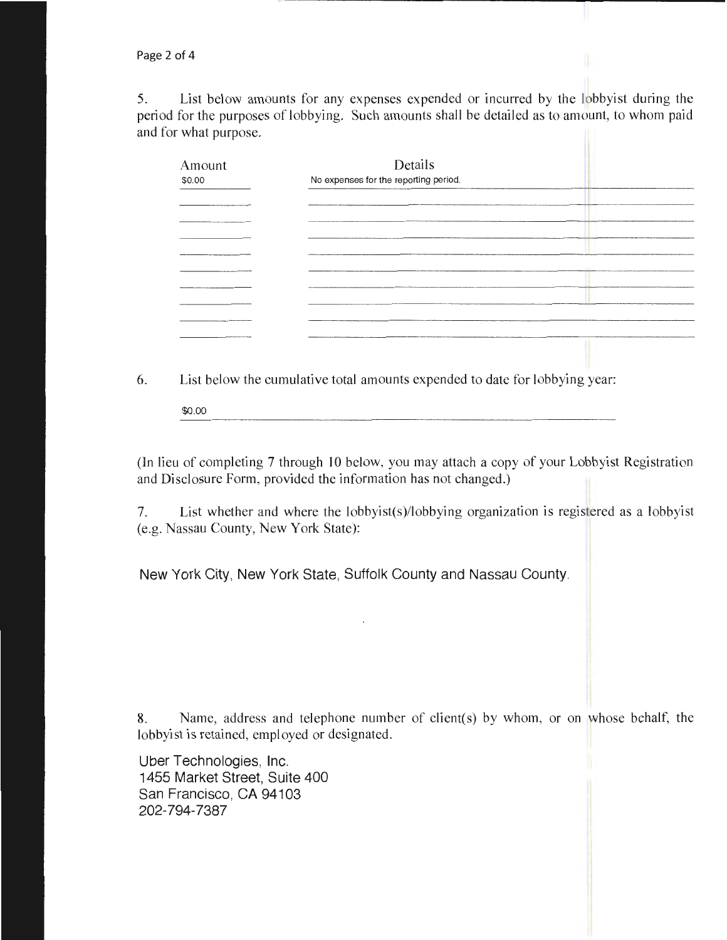5. List below amounts for any expenses expended or incurred by the lobbyist during the period for the purposes of lobbying. Such amounts shall be detailed as to amount, to whom paid and for what purpose.

| Amount<br>\$0.00                                                                          | Details<br>No expenses for the reporting period.                     | ,,,,,,,,,,,,,,,,,,,,,,,,,,,,,,,,,, |
|-------------------------------------------------------------------------------------------|----------------------------------------------------------------------|------------------------------------|
| the control of the control of the control of the control of the control of the control of |                                                                      |                                    |
|                                                                                           | <b><i>PARTICULAR AND A REPORT OF THE RESIDENT AND RESIDENTS.</i></b> | <b><i>CALL AND RESIDENCES</i></b>  |
|                                                                                           |                                                                      |                                    |
|                                                                                           |                                                                      |                                    |
|                                                                                           |                                                                      |                                    |
|                                                                                           |                                                                      |                                    |
|                                                                                           | -----------                                                          |                                    |
| http://www.communication.com/paintings.com/paintings.com/paintings.com/paintings.com/     |                                                                      |                                    |
|                                                                                           |                                                                      |                                    |

6. List below the cumulative total amounts expended to date for lobbying year:

\$0.00

(In lieu of completing 7 through 10 below, you may attach a copy of your Lobbyist Registration and Disclosure Form, provided the information has not changed.)

7. List whether and where the lobbyist(s)/lobbying organization is registered as a lobbyist (e.g. Nassau County, New York State):

New York City, New York State, Suffolk County and Nassau County.

8. Name, address and telephone number of client(s) by whom, or on whose behalf, the lobbyist is retained, employed or designated.

Uber Technologies, Inc. 1455 Market Street, Suite 400 San Francisco, CA 94103 202-794-7387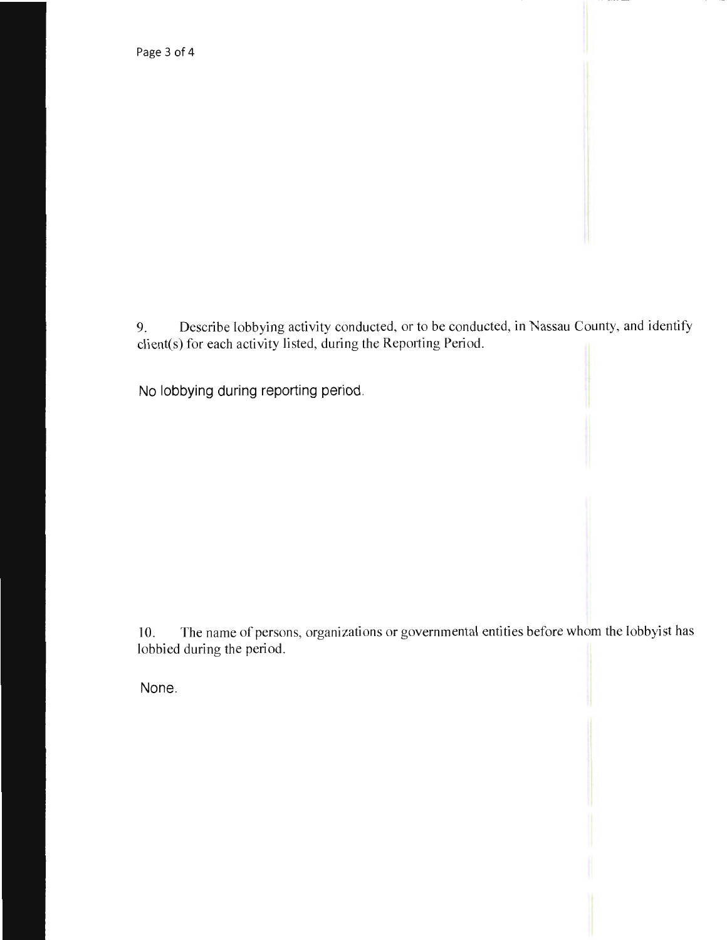9. Describe lobbying activity conducted, or to be conducted, in Nassau County, and identify client(s) for each activity listed, during the Reporting Period.

No lobbying during reporting period.

10. The name of persons, organizations or governmental entities before whom the lobbyist has lobbied during the period.

None.